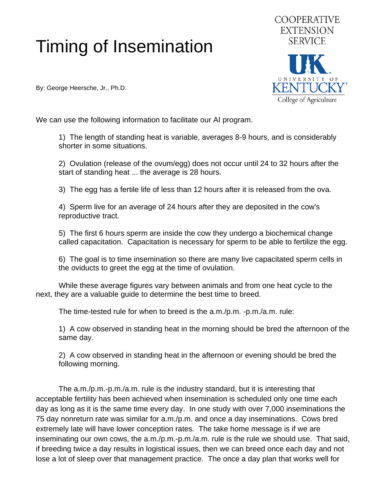## Timing of Insemination

By: George Heersche, Jr., Ph.D.



We can use the following information to facilitate our AI program.

 1) The length of standing heat is variable, averages 8-9 hours, and is considerably shorter in some situations.

 2) Ovulation (release of the ovum/egg) does not occur until 24 to 32 hours after the start of standing heat ... the average is 28 hours.

3) The egg has a fertile life of less than 12 hours after it is released from the ova.

 4) Sperm live for an average of 24 hours after they are deposited in the cow's reproductive tract.

 5) The first 6 hours sperm are inside the cow they undergo a biochemical change called capacitation. Capacitation is necessary for sperm to be able to fertilize the egg.

 6) The goal is to time insemination so there are many live capacitated sperm cells in the oviducts to greet the egg at the time of ovulation.

 While these average figures vary between animals and from one heat cycle to the next, they are a valuable guide to determine the best time to breed.

The time-tested rule for when to breed is the a.m./p.m. -p.m./a.m. rule:

 1) A cow observed in standing heat in the morning should be bred the afternoon of the same day.

 2) A cow observed in standing heat in the afternoon or evening should be bred the following morning.

 The a.m./p.m.-p.m./a.m. rule is the industry standard, but it is interesting that acceptable fertility has been achieved when insemination is scheduled only one time each day as long as it is the same time every day. In one study with over 7,000 inseminations the 75 day nonreturn rate was similar for a.m./p.m. and once a day inseminations. Cows bred extremely late will have lower conception rates. The take home message is if we are inseminating our own cows, the a.m./p.m.-p.m./a.m. rule is the rule we should use. That said, if breeding twice a day results in logistical issues, then we can breed once each day and not lose a lot of sleep over that management practice. The once a day plan that works well for